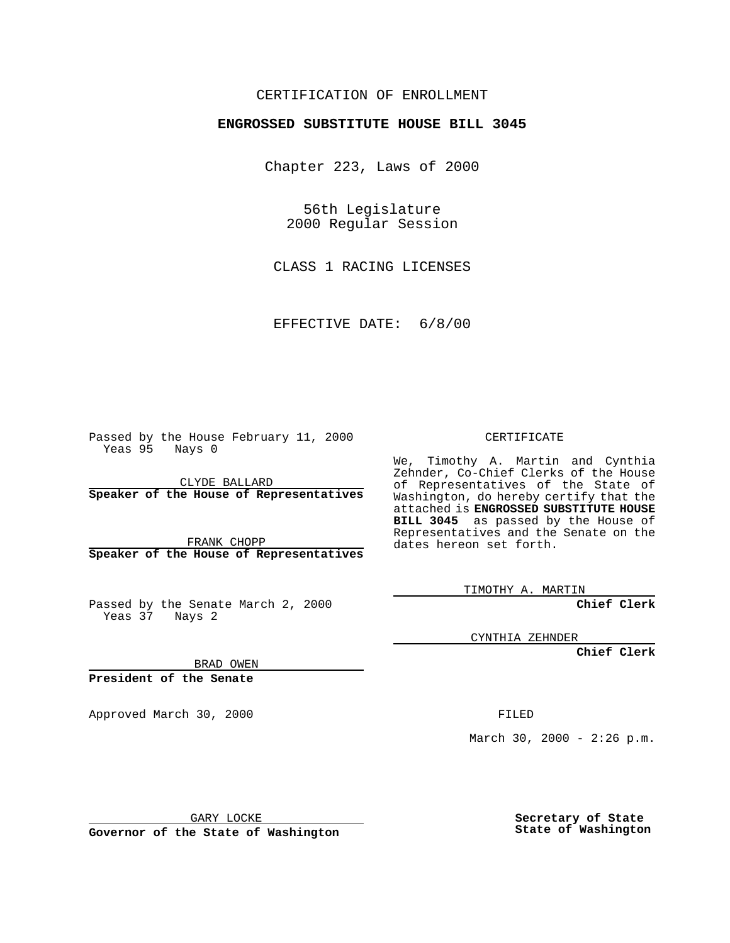## CERTIFICATION OF ENROLLMENT

## **ENGROSSED SUBSTITUTE HOUSE BILL 3045**

Chapter 223, Laws of 2000

56th Legislature 2000 Regular Session

CLASS 1 RACING LICENSES

EFFECTIVE DATE: 6/8/00

Passed by the House February 11, 2000 Yeas 95 Nays 0

CLYDE BALLARD **Speaker of the House of Representatives**

FRANK CHOPP **Speaker of the House of Representatives**

Passed by the Senate March 2, 2000 Yeas 37 Nays 2

CERTIFICATE

We, Timothy A. Martin and Cynthia Zehnder, Co-Chief Clerks of the House of Representatives of the State of Washington, do hereby certify that the attached is **ENGROSSED SUBSTITUTE HOUSE BILL 3045** as passed by the House of Representatives and the Senate on the dates hereon set forth.

TIMOTHY A. MARTIN

**Chief Clerk**

CYNTHIA ZEHNDER

**Chief Clerk**

BRAD OWEN

**President of the Senate**

Approved March 30, 2000 FILED

March 30, 2000 -  $2:26$  p.m.

GARY LOCKE

**Governor of the State of Washington**

**Secretary of State State of Washington**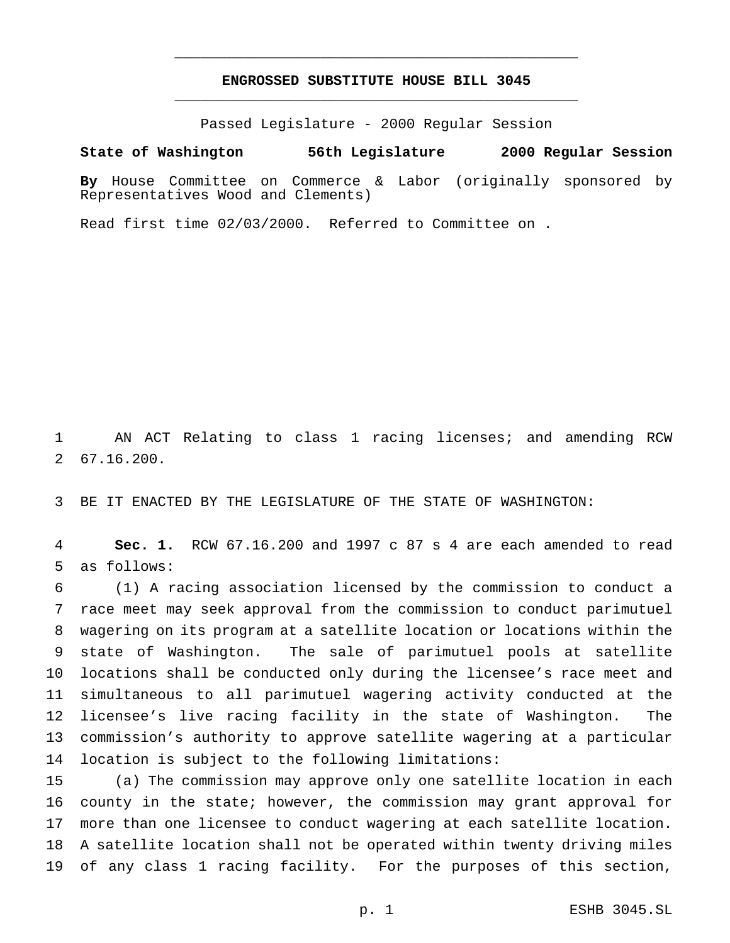## **ENGROSSED SUBSTITUTE HOUSE BILL 3045** \_\_\_\_\_\_\_\_\_\_\_\_\_\_\_\_\_\_\_\_\_\_\_\_\_\_\_\_\_\_\_\_\_\_\_\_\_\_\_\_\_\_\_\_\_\_\_

\_\_\_\_\_\_\_\_\_\_\_\_\_\_\_\_\_\_\_\_\_\_\_\_\_\_\_\_\_\_\_\_\_\_\_\_\_\_\_\_\_\_\_\_\_\_\_

Passed Legislature - 2000 Regular Session

**State of Washington 56th Legislature 2000 Regular Session**

**By** House Committee on Commerce & Labor (originally sponsored by Representatives Wood and Clements)

Read first time 02/03/2000. Referred to Committee on .

 AN ACT Relating to class 1 racing licenses; and amending RCW 67.16.200.

BE IT ENACTED BY THE LEGISLATURE OF THE STATE OF WASHINGTON:

 **Sec. 1.** RCW 67.16.200 and 1997 c 87 s 4 are each amended to read as follows:

 (1) A racing association licensed by the commission to conduct a race meet may seek approval from the commission to conduct parimutuel wagering on its program at a satellite location or locations within the state of Washington. The sale of parimutuel pools at satellite locations shall be conducted only during the licensee's race meet and simultaneous to all parimutuel wagering activity conducted at the licensee's live racing facility in the state of Washington. The commission's authority to approve satellite wagering at a particular location is subject to the following limitations:

 (a) The commission may approve only one satellite location in each county in the state; however, the commission may grant approval for more than one licensee to conduct wagering at each satellite location. A satellite location shall not be operated within twenty driving miles of any class 1 racing facility. For the purposes of this section,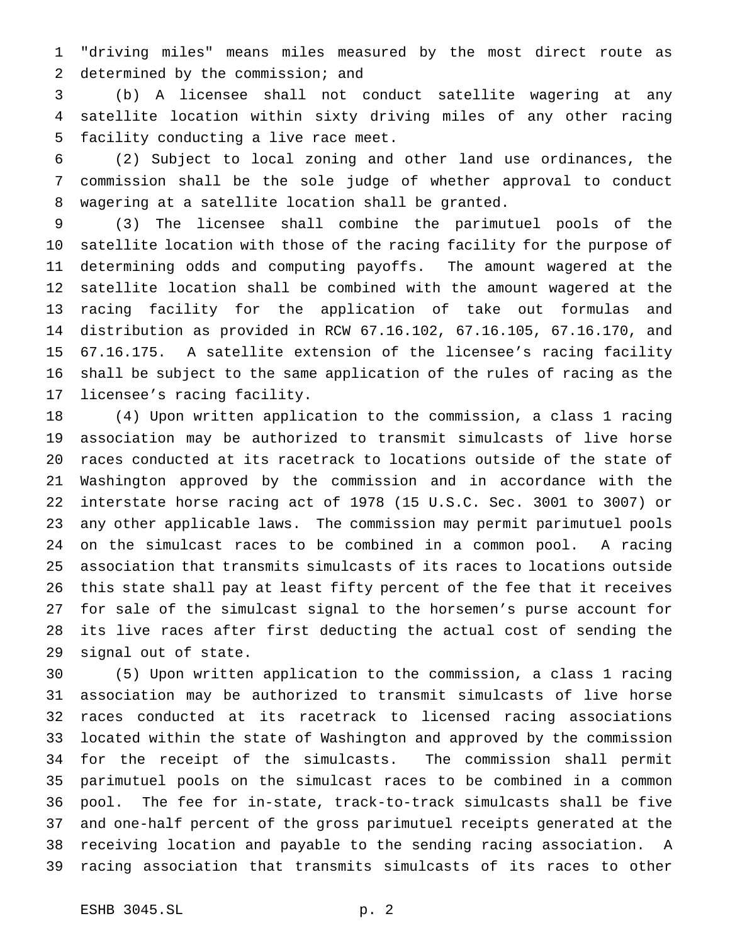"driving miles" means miles measured by the most direct route as 2 determined by the commission; and

 (b) A licensee shall not conduct satellite wagering at any satellite location within sixty driving miles of any other racing facility conducting a live race meet.

 (2) Subject to local zoning and other land use ordinances, the commission shall be the sole judge of whether approval to conduct wagering at a satellite location shall be granted.

 (3) The licensee shall combine the parimutuel pools of the satellite location with those of the racing facility for the purpose of determining odds and computing payoffs. The amount wagered at the satellite location shall be combined with the amount wagered at the racing facility for the application of take out formulas and distribution as provided in RCW 67.16.102, 67.16.105, 67.16.170, and 67.16.175. A satellite extension of the licensee's racing facility shall be subject to the same application of the rules of racing as the licensee's racing facility.

 (4) Upon written application to the commission, a class 1 racing association may be authorized to transmit simulcasts of live horse races conducted at its racetrack to locations outside of the state of Washington approved by the commission and in accordance with the interstate horse racing act of 1978 (15 U.S.C. Sec. 3001 to 3007) or any other applicable laws. The commission may permit parimutuel pools on the simulcast races to be combined in a common pool. A racing association that transmits simulcasts of its races to locations outside this state shall pay at least fifty percent of the fee that it receives for sale of the simulcast signal to the horsemen's purse account for its live races after first deducting the actual cost of sending the signal out of state.

 (5) Upon written application to the commission, a class 1 racing association may be authorized to transmit simulcasts of live horse races conducted at its racetrack to licensed racing associations located within the state of Washington and approved by the commission for the receipt of the simulcasts. The commission shall permit parimutuel pools on the simulcast races to be combined in a common pool. The fee for in-state, track-to-track simulcasts shall be five and one-half percent of the gross parimutuel receipts generated at the receiving location and payable to the sending racing association. A racing association that transmits simulcasts of its races to other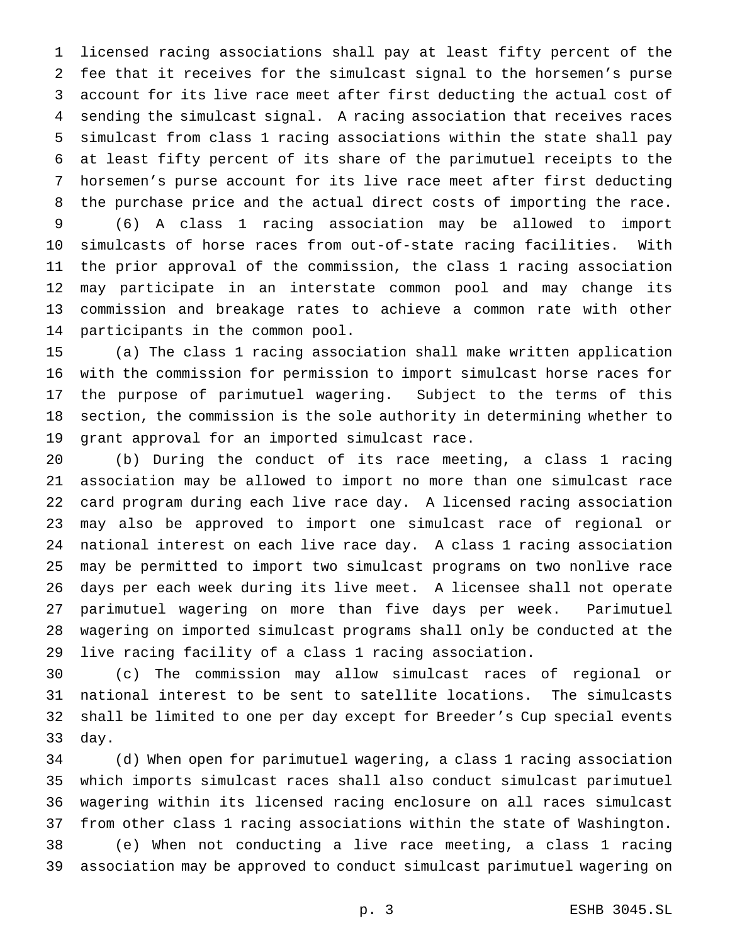licensed racing associations shall pay at least fifty percent of the fee that it receives for the simulcast signal to the horsemen's purse account for its live race meet after first deducting the actual cost of sending the simulcast signal. A racing association that receives races simulcast from class 1 racing associations within the state shall pay at least fifty percent of its share of the parimutuel receipts to the horsemen's purse account for its live race meet after first deducting the purchase price and the actual direct costs of importing the race.

 (6) A class 1 racing association may be allowed to import simulcasts of horse races from out-of-state racing facilities. With the prior approval of the commission, the class 1 racing association may participate in an interstate common pool and may change its commission and breakage rates to achieve a common rate with other participants in the common pool.

 (a) The class 1 racing association shall make written application with the commission for permission to import simulcast horse races for the purpose of parimutuel wagering. Subject to the terms of this section, the commission is the sole authority in determining whether to grant approval for an imported simulcast race.

 (b) During the conduct of its race meeting, a class 1 racing association may be allowed to import no more than one simulcast race card program during each live race day. A licensed racing association may also be approved to import one simulcast race of regional or national interest on each live race day. A class 1 racing association may be permitted to import two simulcast programs on two nonlive race days per each week during its live meet. A licensee shall not operate parimutuel wagering on more than five days per week. Parimutuel wagering on imported simulcast programs shall only be conducted at the live racing facility of a class 1 racing association.

 (c) The commission may allow simulcast races of regional or national interest to be sent to satellite locations. The simulcasts shall be limited to one per day except for Breeder's Cup special events day.

 (d) When open for parimutuel wagering, a class 1 racing association which imports simulcast races shall also conduct simulcast parimutuel wagering within its licensed racing enclosure on all races simulcast from other class 1 racing associations within the state of Washington. (e) When not conducting a live race meeting, a class 1 racing association may be approved to conduct simulcast parimutuel wagering on